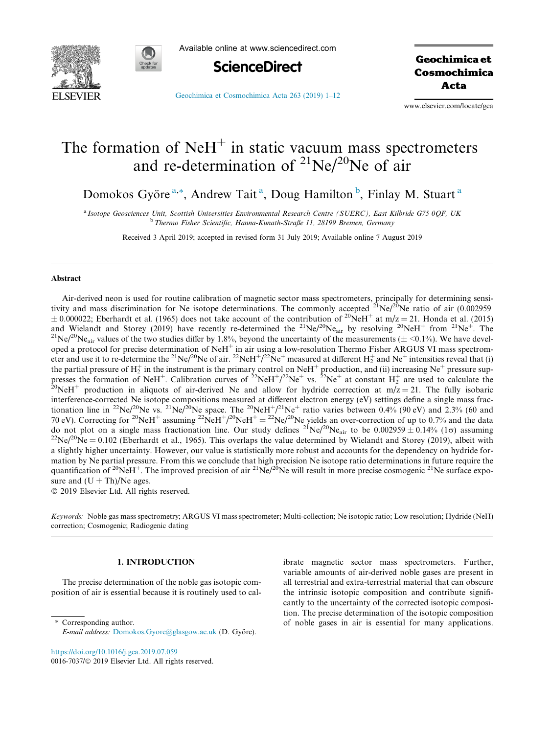



Available online at www.sciencedirect.com



Geochimica et Cosmochimica Acta

[Geochimica et Cosmochimica Acta 263 \(2019\) 1–12](https://doi.org/10.1016/j.gca.2019.07.059)

www.elsevier.com/locate/gca

# The formation of  $N$ eH<sup>+</sup> in static vacuum mass spectrometers and re-determination of  $^{21}Ne/^{20}Ne$  of air

Domokos Györe<sup>a,\*</sup>, Andrew Tait<sup>a</sup>, Doug Hamilton<sup>b</sup>, Finlay M. Stuart<sup>a</sup>

a Isotope Geosciences Unit, Scottish Universities Environmental Research Centre (SUERC), East Kilbride G75 0QF, UK <sup>b</sup> Thermo Fisher Scientific, Hanna-Kunath-Straße 11, 28199 Bremen, Germany

Received 3 April 2019; accepted in revised form 31 July 2019; Available online 7 August 2019

## Abstract

Air-derived neon is used for routine calibration of magnetic sector mass spectrometers, principally for determining sensitivity and mass discrimination for Ne isotope determinations. The commonly accepted  $^{21}Ne/^{20}Ne$  ratio of air (0.002959  $\pm$  0.000022; Eberhardt et al. (1965) does not take account of the contribution of <sup>20</sup>NeH<sup>+</sup> at m/z = 21. Honda et al. (2015) and Wielandt and Storey (2019) have recently re-determined the <sup>21</sup>Ne/<sup>20</sup>Ne<sub>air</sub> by resolving <sup>20</sup>NeH<sup>+</sup> from <sup>21</sup>Ne<sup>+</sup>. The <sup>21</sup>Ne/<sup>20</sup>Ne<sub>air</sub> values of the two studies differ by 1.8%, beyond the uncertainty of the meas oped a protocol for precise determination of  $NeH^+$  in air using a low-resolution Thermo Fisher ARGUS VI mass spectrometer and use it to re-determine the <sup>21</sup>Ne/<sup>20</sup>Ne of air. <sup>22</sup>NeH<sup>+</sup>/<sup>22</sup>Ne<sup>+</sup> measured at different H<sub>2</sub><sup>+</sup> and Ne<sup>+</sup> intensities reveal that (i) the partial pressure of  $H_2^+$  in the instrument is the primary control on  $NeH^+$  production, and (ii) increasing  $Ne^+$  pressure suppresses the formation of NeH<sup>+</sup>. Calibration curves of <sup>22</sup>NeH<sup>+</sup>/<sup>22</sup>Ne<sup>+</sup> vs. <sup>22</sup>Ne<sup>+</sup> at constant H<sub>2</sub><sup>+</sup> are used to calculate the  $^{20}$ NeH<sup>+</sup> production in aliquots of air-derived Ne and allow for hydride correctio interference-corrected Ne isotope compositions measured at different electron energy (eV) settings define a single mass fractionation line in <sup>22</sup>Ne/<sup>20</sup>Ne vs. <sup>21</sup>Ne/<sup>20</sup>Ne space. The <sup>20</sup>NeH<sup>+</sup>/<sup>21</sup>Ne<sup>+</sup> ratio varies between 0.4% (90 eV) and 2.3% (60 and 70 eV). Correcting for <sup>20</sup>NeH<sup>+</sup> assuming <sup>22</sup>NeH<sup>+</sup>/<sup>20</sup>NeH<sup>+</sup> = <sup>22</sup>Ne/<sup>20</sup>Ne yields an over-correction of up to 0.7% and the data do not plot on a single mass fractionation line. Our study defines <sup>21</sup>Ne/<sup>20</sup>Ne<sub>air</sub> to be 0.002959 ± 0.14% (1 $\sigma$ ) assuming <sup>22</sup>Ne/<sup>20</sup>Ne = 0.102 (Eberhardt et al., 1965). This overlaps the value determined by Wielandt a slightly higher uncertainty. However, our value is statistically more robust and accounts for the dependency on hydride formation by Ne partial pressure. From this we conclude that high precision Ne isotope ratio determinations in future require the quantification of <sup>20</sup>NeH<sup>+</sup>. The improved precision of air <sup>21</sup>Ne/<sup>20</sup>Ne will result in more precise cosmogenic <sup>21</sup>Ne surface exposure and  $(U + Th)/Ne$  ages.

2019 Elsevier Ltd. All rights reserved.

Keywords: Noble gas mass spectrometry; ARGUS VI mass spectrometer; Multi-collection; Ne isotopic ratio; Low resolution; Hydride (NeH) correction; Cosmogenic; Radiogenic dating

## 1. INTRODUCTION

The precise determination of the noble gas isotopic composition of air is essential because it is routinely used to cal-

ibrate magnetic sector mass spectrometers. Further, variable amounts of air-derived noble gases are present in all terrestrial and extra-terrestrial material that can obscure the intrinsic isotopic composition and contribute significantly to the uncertainty of the corrected isotopic composition. The precise determination of the isotopic composition of noble gases in air is essential for many applications.

<https://doi.org/10.1016/j.gca.2019.07.059> 0016-7037/© 2019 Elsevier Ltd. All rights reserved.

<sup>\*</sup> Corresponding author. E-mail address: [Domokos.Gyore@glasgow.ac.uk](mailto:Domokos.Gyore@glasgow.ac.uk) (D. Györe).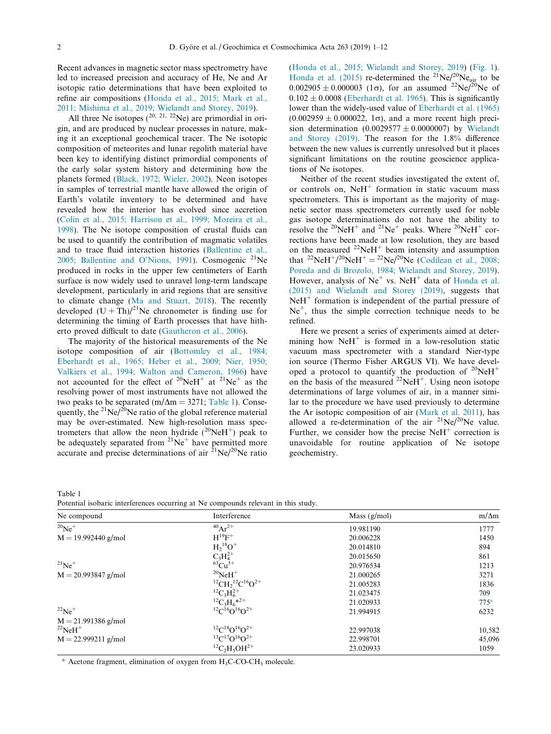<span id="page-1-0"></span>Recent advances in magnetic sector mass spectrometry have led to increased precision and accuracy of He, Ne and Ar isotopic ratio determinations that have been exploited to refine air compositions [\(Honda et al., 2015; Mark et al.,](#page-11-0) [2011; Mishima et al., 2019; Wielandt and Storey, 2019\)](#page-11-0).

All three Ne isotopes  $(^{20, 21, 22}$ Ne) are primordial in origin, and are produced by nuclear processes in nature, making it an exceptional geochemical tracer. The Ne isotopic composition of meteorites and lunar regolith material have been key to identifying distinct primordial components of the early solar system history and determining how the planets formed ([Black, 1972; Wieler, 2002](#page-11-0)). Neon isotopes in samples of terrestrial mantle have allowed the origin of Earth's volatile inventory to be determined and have revealed how the interior has evolved since accretion ([Colin et al., 2015; Harrison et al., 1999; Moreira et al.,](#page-11-0) [1998\)](#page-11-0). The Ne isotope composition of crustal fluids can be used to quantify the contribution of magmatic volatiles and to trace fluid interaction histories [\(Ballentine et al.,](#page-10-0) [2005; Ballentine and O'Nions, 1991](#page-10-0)). Cosmogenic  $2^{1}$ Ne produced in rocks in the upper few centimeters of Earth surface is now widely used to unravel long-term landscape development, particularly in arid regions that are sensitive to climate change ([Ma and Stuart, 2018\)](#page-11-0). The recently developed  $(U + Th)/<sup>21</sup>$ Ne chronometer is finding use for determining the timing of Earth processes that have hitherto proved difficult to date [\(Gautheron et al., 2006\)](#page-11-0).

The majority of the historical measurements of the Ne isotope composition of air ([Bottomley et al., 1984;](#page-11-0) [Eberhardt et al., 1965; Heber et al., 2009; Nier, 1950;](#page-11-0) [Valkiers et al., 1994; Walton and Cameron, 1966\)](#page-11-0) have not accounted for the effect of  $^{20}$ NeH<sup>+</sup> at  $^{21}$ Ne<sup>+</sup> as the resolving power of most instruments have not allowed the two peaks to be separated (m/ $\Delta m = 3271$ ; Table 1). Consequently, the  $^{21}Ne/^{20}Ne$  ratio of the global reference material may be over-estimated. New high-resolution mass spectrometers that allow the neon hydride  $(^{20}NeH^{+})$  peak to be adequately separated from  $2^{1}Ne^{+}$  have permitted more accurate and precise determinations of air  ${}^{21}Ne/{}^{20}Ne$  ratio ([Honda et al., 2015; Wielandt and Storey, 2019\)](#page-11-0) [\(Fig. 1\)](#page-2-0). [Honda et al. \(2015\)](#page-11-0) re-determined the  $2^{1}Ne/2^{0}Ne_{air}$  to be  $0.002905 \pm 0.000003$  (1 $\sigma$ ), for an assumed <sup>22</sup>Ne/<sup>20</sup>Ne of  $0.102 \pm 0.0008$  [\(Eberhardt et al. 1965](#page-11-0)). This is significantly lower than the widely-used value of [Eberhardt et al. \(1965\)](#page-11-0)  $(0.002959 \pm 0.000022, 1\sigma)$ , and a more recent high precision determination  $(0.0029577 \pm 0.0000007)$  by [Wielandt](#page-11-0) [and Storey \(2019\).](#page-11-0) The reason for the 1.8% difference between the new values is currently unresolved but it places significant limitations on the routine geoscience applications of Ne isotopes.

Neither of the recent studies investigated the extent of, or controls on,  $N$ e $H$ <sup>+</sup> formation in static vacuum mass spectrometers. This is important as the majority of magnetic sector mass spectrometers currently used for noble gas isotope determinations do not have the ability to resolve the  $^{20}$ NeH<sup>+</sup> and  $^{21}$ Ne<sup>+</sup> peaks. Where  $^{20}$ NeH<sup>+</sup> corrections have been made at low resolution, they are based on the measured  $2^2$ NeH<sup>+</sup> beam intensity and assumption that <sup>22</sup>NeH<sup>+</sup>/<sup>20</sup>NeH<sup>+</sup> = <sup>22</sup>Ne/<sup>20</sup>Ne [\(Codilean et al., 2008;](#page-11-0) [Poreda and di Brozolo, 1984; Wielandt and Storey, 2019\)](#page-11-0). However, analysis of  $Ne<sup>+</sup>$  vs. NeH<sup>+</sup> data of [Honda et al.](#page-11-0) [\(2015\) and Wielandt and Storey \(2019\)](#page-11-0), suggests that  $N$ eH<sup>+</sup> formation is independent of the partial pressure of  $Ne<sup>+</sup>$ , thus the simple correction technique needs to be refined.

Here we present a series of experiments aimed at determining how  $N$ eH<sup>+</sup> is formed in a low-resolution static vacuum mass spectrometer with a standard Nier-type ion source (Thermo Fisher ARGUS VI). We have developed a protocol to quantify the production of  $20\text{NeH}^+$ on the basis of the measured  $^{22}$ NeH<sup>+</sup>. Using neon isotope determinations of large volumes of air, in a manner similar to the procedure we have used previously to determine the Ar isotopic composition of air ([Mark et al. 2011\)](#page-11-0), has allowed a re-determination of the air  $^{21}Ne/^{20}Ne$  value. Further, we consider how the precise  $N$ eH<sup>+</sup> correction is unavoidable for routine application of Ne isotope geochemistry.

Table 1 Potential isobaric interferences occurring at Ne compounds relevant in this study.

| Ne compound              | Interference                                                 | Mass $(g/mol)$ | $m/\Delta m$     |
|--------------------------|--------------------------------------------------------------|----------------|------------------|
| $^{20}Ne^+$              | $^{40}Ar^{2+}$                                               | 19.981190      | 1777             |
| $M = 19.992440$ g/mol    | $H^{19}F^+$                                                  | 20.006228      | 1450             |
|                          | $H_2{}^{18}O^+$                                              | 20.014810      | 894              |
|                          | $C_3H_4^{2+}$                                                | 20.015650      | 861              |
| $^{21}Ne^+$              | ${}^{63}Cu^{3+}$                                             | 20.976534      | 1213             |
| $M = 20.993847$ g/mol    | $^{20}$ NeH <sup>+</sup>                                     | 21.000265      | 3271             |
|                          | ${}^{12}CH_{2}{}^{12}C^{16}O^{2+}$                           | 21.005283      | 1836             |
|                          | ${}^{12}C_3H_6^{2+}$                                         | 21.023475      | 709              |
|                          | ${}^{12}C_3H_6*^{2+}$                                        | 21.020933      | 775 <sup>a</sup> |
| $^{22}Ne^+$              | ${}^{12}C^{16}O^{16}O^{2+}$                                  | 21.994915      | 6232             |
| $M = 21.991386$ g/mol    |                                                              |                |                  |
| $^{22}$ NeH <sup>+</sup> | ${}^{12}C {}^{18}O {}^{16}O^{2+}$                            | 22.997038      | 10,582           |
| $M = 22.999211$ g/mol    | ${}^{13}C$ <sup>17</sup> $O$ <sup>16</sup> $O$ <sup>2+</sup> | 22.998701      | 45,096           |
|                          | ${}^{12}C_2H_5OH^{2+}$                                       | 23.020933      | 1059             |

 $a$  Acetone fragment, elimination of oxygen from  $H_3C$ -CO-C $H_3$  molecule.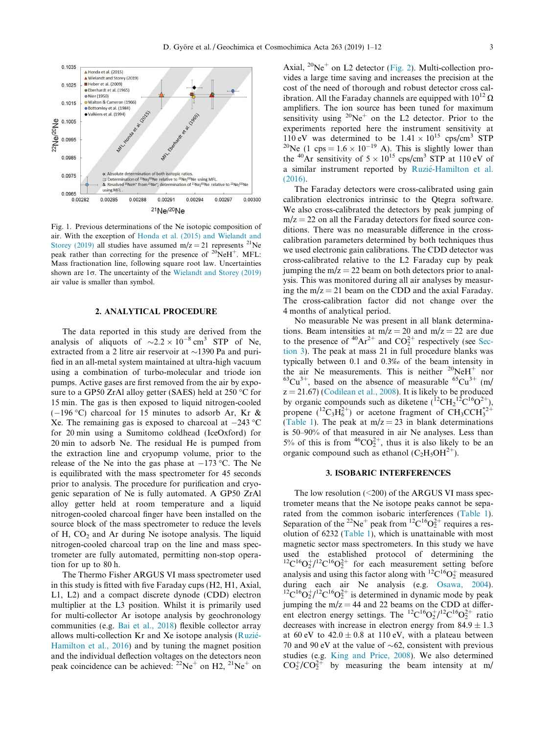<span id="page-2-0"></span>

Fig. 1. Previous determinations of the Ne isotopic composition of air. With the exception of [Honda et al. \(2015\) and Wielandt and](#page-11-0) [Storey \(2019\)](#page-11-0) all studies have assumed  $m/z = 21$  represents <sup>21</sup>Ne peak rather than correcting for the presence of  $20\text{NeH}^+$ . MFL: Mass fractionation line, following square root law. Uncertainties shown are  $1\sigma$ . The uncertainty of the [Wielandt and Storey \(2019\)](#page-11-0) air value is smaller than symbol.

## 2. ANALYTICAL PROCEDURE

The data reported in this study are derived from the analysis of aliquots of  $\sim 2.2 \times 10^{-8}$  cm<sup>3</sup> STP of Ne, extracted from a 2 litre air reservoir at  $\sim$ 1390 Pa and purified in an all-metal system maintained at ultra-high vacuum using a combination of turbo-molecular and triode ion pumps. Active gases are first removed from the air by exposure to a GP50 ZrAl alloy getter (SAES) held at 250  $\rm{^{\circ}C}$  for 15 min. The gas is then exposed to liquid nitrogen-cooled  $(-196 \degree C)$  charcoal for 15 minutes to adsorb Ar, Kr & Xe. The remaining gas is exposed to charcoal at  $-243$  °C for 20 min using a Sumitomo coldhead (IceOxford) for 20 min to adsorb Ne. The residual He is pumped from the extraction line and cryopump volume, prior to the release of the Ne into the gas phase at  $-173$  °C. The Ne is equilibrated with the mass spectrometer for 45 seconds prior to analysis. The procedure for purification and cryogenic separation of Ne is fully automated. A GP50 ZrAl alloy getter held at room temperature and a liquid nitrogen-cooled charcoal finger have been installed on the source block of the mass spectrometer to reduce the levels of H,  $CO<sub>2</sub>$  and Ar during Ne isotope analysis. The liquid nitrogen-cooled charcoal trap on the line and mass spectrometer are fully automated, permitting non-stop operation for up to 80 h.

The Thermo Fisher ARGUS VI mass spectrometer used in this study is fitted with five Faraday cups (H2, H1, Axial, L1, L2) and a compact discrete dynode (CDD) electron multiplier at the L3 position. Whilst it is primarily used for multi-collector Ar isotope analysis by geochronology communities (e.g. [Bai et al., 2018](#page-10-0)) flexible collector array allows multi-collection Kr and Xe isotope analysis (Ruzié-[Hamilton et al., 2016](#page-11-0)) and by tuning the magnet position and the individual deflection voltages on the detectors neon peak coincidence can be achieved:  $^{22}Ne^{+}$  on H2,  $^{21}Ne^{+}$  on

Axial,  ${}^{20}\text{Ne}^+$  on L2 detector ([Fig. 2](#page-3-0)). Multi-collection provides a large time saving and increases the precision at the cost of the need of thorough and robust detector cross calibration. All the Faraday channels are equipped with  $10^{12} \Omega$ amplifiers. The ion source has been tuned for maximum sensitivity using  $2^0$ Ne<sup>+</sup> on the L2 detector. Prior to the experiments reported here the instrument sensitivity at 110 eV was determined to be  $1.41 \times 10^{15}$  cps/cm<sup>3</sup> STP <sup>20</sup>Ne (1 cps =  $1.6 \times 10^{-19}$  A). This is slightly lower than the <sup>40</sup>Ar sensitivity of  $5 \times 10^{15}$  cps/cm<sup>3</sup> STP at 110 eV of a similar instrument reported by Ruzié-Hamilton et al. [\(2016\)](#page-11-0).

The Faraday detectors were cross-calibrated using gain calibration electronics intrinsic to the Qtegra software. We also cross-calibrated the detectors by peak jumping of  $m/z = 22$  on all the Faraday detectors for fixed source conditions. There was no measurable difference in the crosscalibration parameters determined by both techniques thus we used electronic gain calibrations. The CDD detector was cross-calibrated relative to the L2 Faraday cup by peak jumping the  $m/z = 22$  beam on both detectors prior to analysis. This was monitored during all air analyses by measuring the  $m/z = 21$  beam on the CDD and the axial Faraday. The cross-calibration factor did not change over the 4 months of analytical period.

No measurable Ne was present in all blank determinations. Beam intensities at  $m/z = 20$  and  $m/z = 22$  are due to the presence of  ${}^{40}\text{Ar}^{2+}$  and  $\text{CO}_2^{2+}$  respectively (see Section 3). The peak at mass 21 in full procedure blanks was typically between 0.1 and 0.3‰ of the beam intensity in the air Ne measurements. This is neither  ${}^{20}\text{NeH}^+$  nor  ${}^{63}\text{Cu}^{3+}$ , based on the absence of measurable  ${}^{65}\text{Cu}^{3+}$  (m/  $z = 21.67$ ) [\(Codilean et al., 2008](#page-11-0)). It is likely to be produced by organic compounds such as diketene  $({}^{12}CH_2{}^{12}C^{16}O^2{}^+),$ propene ( ${}^{12}C_3H_6^{2+}$ ) or acetone fragment of CH<sub>3</sub>CCH<sub>3</sub><sup>2+</sup> [\(Table 1](#page-1-0)). The peak at  $m/z = 23$  in blank determinations is 50–90% of that measured in air Ne analyses. Less than 5% of this is from  ${}^{46}CO_2^{2+}$ , thus it is also likely to be an organic compound such as ethanol  $(C_2H_5OH^{2+})$ .

## 3. ISOBARIC INTERFERENCES

The low resolution  $(<200)$  of the ARGUS VI mass spectrometer means that the Ne isotope peaks cannot be separated from the common isobaric interferences [\(Table 1](#page-1-0)). Separation of the <sup>22</sup>Ne<sup>+</sup> peak from <sup>12</sup>C<sup>16</sup>O<sub>2</sub><sup>+</sup> requires a resolution of 6232 ([Table 1\)](#page-1-0), which is unattainable with most magnetic sector mass spectrometers. In this study we have used the established protocol of determining the  ${}^{12}C^{16}O_2^{\frac{1}{2}}I^{\frac{1}{2}}C^{16}O_2^{\frac{2}{2}}$  for each measurement setting before analysis and using this factor along with  ${}^{12}C^{16}O_2^+$  measured during each air Ne analysis (e.g. [Osawa, 2004](#page-11-0)).<br><sup>12</sup>C<sup>16</sup>O<sub>2</sub><sup>+</sup>/<sup>12</sup>C<sup>16</sup>O<sub>2</sub><sup>+</sup> is determined in dynamic mode by peak jumping the  $m/z = 44$  and 22 beams on the CDD at different electron energy settings. The  ${}^{12}C^{16}O_2^+ / {}^{12}C^{16}O_2^2$  ratio decreases with increase in electron energy from  $84.9 \pm 1.3$ at 60 eV to  $42.0 \pm 0.8$  at 110 eV, with a plateau between 70 and 90 eV at the value of  $\sim 62$ , consistent with previous studies (e.g. [King and Price, 2008\)](#page-11-0). We also determined  $CO_2^{\rightarrow}/CO_2^{\rightarrow}$  by measuring the beam intensity at m/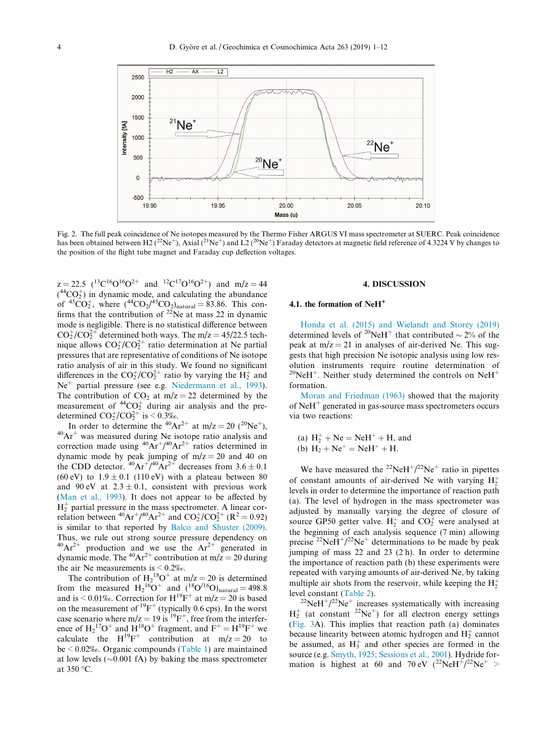<span id="page-3-0"></span>

Fig. 2. The full peak coincidence of Ne isotopes measured by the Thermo Fisher ARGUS VI mass spectrometer at SUERC. Peak coincidence has been obtained between H2 (<sup>22</sup>Ne<sup>+</sup>), Axial (<sup>21</sup>Ne<sup>+</sup>) and L2 (<sup>20</sup>Ne<sup>+</sup>) Faraday detectors at magnetic field reference of 4.3224 V by changes to the position of the flight tube magnet and Faraday cup deflection voltages.

 $z = 22.5$   $(^{13}C^{16}O^{16}O^{2+}$  and  $^{12}C^{17}O^{16}O^{2+}$  and  $m/z = 44$  $( ^{44}CO<sub>2</sub><sup>+</sup>)$  in dynamic mode, and calculating the abundance of <sup>45</sup>CO<sub>2</sub><sup>+</sup>, where  $(^{44}CO_2/^{45}CO_2)_{\text{natural}} = 83.86$ . This confirms that the contribution of  $22$ Ne at mass 22 in dynamic mode is negligible. There is no statistical difference between  $CO_2^{\ast}/CO_2^{\ast}$  determined both ways. The m/z = 45/22.5 technique allows  $CO_2^{\scriptscriptstyle +}/CO_2^{\scriptscriptstyle -2+}$  ratio determination at Ne partial pressures that are representative of conditions of Ne isotope ratio analysis of air in this study. We found no significant differences in the  $CO_2^+(CO_2^{2+})$  ratio by varying the  $H_2^+$  and Ne<sup>+</sup> partial pressure (see e.g. [Niedermann et al., 1993\)](#page-11-0). The contribution of  $CO_2$  at m/z = 22 determined by the measurement of  ${}^{44}CO_2^+$  during air analysis and the predetermined  $CO_2^+/CO_2^{2+}$  is  $\leq 0.3\%$ .

In order to determine the <sup>40</sup>Ar<sup>2+</sup> at m/z = 20 (<sup>20</sup>Ne<sup>+</sup>), <sup>40</sup>Ar<sup>+</sup> was measured during Ne isotope ratio analysis and correction made using  ${}^{40}Ar^{+/40}Ar^{2+}$  ratios determined in dynamic mode by peak jumping of  $m/z = 20$  and 40 on the CDD detector.  $^{40}Ar^{+/40}Ar^{2+}$  decreases from 3.6  $\pm$  0.1 (60 eV) to  $1.9 \pm 0.1$  (110 eV) with a plateau between 80 and 90 eV at  $2.3 \pm 0.1$ , consistent with previous work ([Man et al., 1993](#page-11-0)). It does not appear to be affected by  $H_2^+$  partial pressure in the mass spectrometer. A linear correlation between <sup>40</sup>Ar<sup>+</sup>/<sup>40</sup>Ar<sup>2+</sup> and  $CO_2^+(CO_2^{2+} (R^2 = 0.92)$ is similar to that reported by [Balco and Shuster \(2009\).](#page-10-0) Thus, we rule out strong source pressure dependency on  $^{40}Ar^{2+}$  production and we use the Ar<sup>2+</sup> generated in dynamic mode. The <sup>40</sup>Ar<sup>2+</sup> contribution at m/z = 20 during the air Ne measurements is  $\leq 0.2\%$ .

The contribution of  $H_2^{18}O^+$  at m/z = 20 is determined from the measured  $H_2{}^{16}O^+$  and  $({}^{18}O'^{16}O)_{natural} = 498.8$ and is < 0.01‰. Correction for  $H^{19}F^+$  at  $m/z = 20$  is based on the measurement of  ${}^{19}F^+$  (typically 0.6 cps). In the worst case scenario where  $m/z = 19$  is <sup>19</sup>F<sup>+</sup>, free from the interference of  $H_2$ <sup>17</sup>O<sup>+</sup> and  $H^{18}O^+$  fragment, and  $F^+ = H^{19}F^+$  we calculate the  $H^{19}F^+$  contribution at m/z = 20 to be < 0.02‰. Organic compounds ([Table 1\)](#page-1-0) are maintained at low levels  $(\sim 0.001 \text{ fA})$  by baking the mass spectrometer at 350 °C.

## 4. DISCUSSION

## 4.1. the formation of NeH<sup>+</sup>

[Honda et al. \(2015\) and Wielandt and Storey \(2019\)](#page-11-0) determined levels of <sup>20</sup>NeH<sup>+</sup> that contributed  $\sim$  2% of the peak at  $m/z = 21$  in analyses of air-derived Ne. This suggests that high precision Ne isotopic analysis using low resolution instruments require routine determination of  $^{20}$ NeH<sup>+</sup>. Neither study determined the controls on NeH<sup>+</sup> formation.

[Moran and Friedman \(1963\)](#page-11-0) showed that the majority of  $NeH<sup>+</sup>$  generated in gas-source mass spectrometers occurs via two reactions:

(a)  $H_2^+$  + Ne = NeH<sup>+</sup> + H, and

(b) 
$$
H_2 + Ne^+ = NeH^+ + H
$$
.

We have measured the <sup>22</sup>NeH<sup>+</sup>/<sup>22</sup>Ne<sup>+</sup> ratio in pipettes of constant amounts of air-derived Ne with varying  $H_2^+$ levels in order to determine the importance of reaction path (a). The level of hydrogen in the mass spectrometer was adjusted by manually varying the degree of closure of source GP50 getter valve.  $H_2^+$  and  $CO_2^+$  were analysed at the beginning of each analysis sequence (7 min) allowing precise <sup>22</sup>NeH<sup>+</sup>/<sup>22</sup>Ne<sup>+</sup> determinations to be made by peak jumping of mass 22 and 23 (2 h). In order to determine the importance of reaction path (b) these experiments were repeated with varying amounts of air-derived Ne, by taking multiple air shots from the reservoir, while keeping the  $H_2^+$ 

level constant ([Table 2\)](#page-4-0).<br><sup>22</sup>Ne<sup>+</sup> increases systematically with increasing  $H_2^+$  (at constant <sup>22</sup>Ne<sup>+</sup>) for all electron energy settings ([Fig. 3A](#page-5-0)). This implies that reaction path (a) dominates because linearity between atomic hydrogen and  $H_2^+$  cannot be assumed, as  $H_3^+$  and other species are formed in the source (e.g. [Smyth, 1925; Sessions et al., 2001](#page-11-0)). Hydride formation is highest at 60 and 70 eV  $(^{22}\text{NeH}^{\text{+}}/^{22}\text{Ne}^{\text{+}}$  >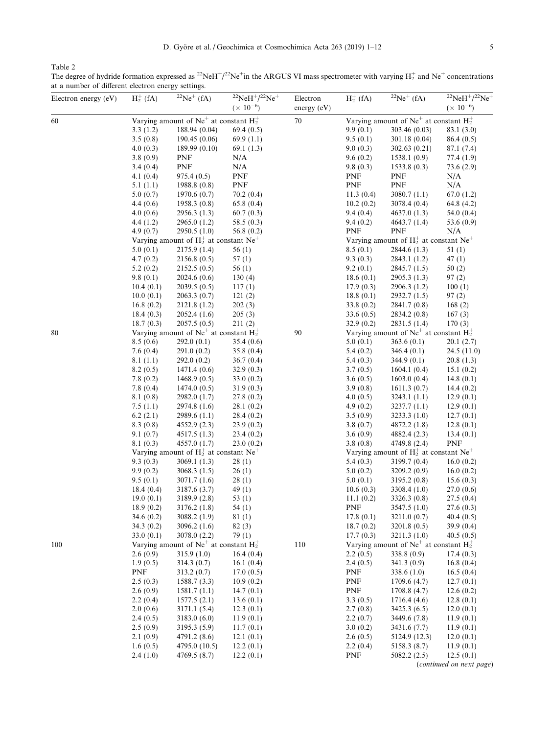<span id="page-4-0"></span>Table 2

The degree of hydride formation expressed as  $^{22}Ne^{+1/2}Ne^{+}$ in the ARGUS VI mass spectrometer with varying  $H_2^+$  and  $Ne^+$  concentrations at a number of different electron energy settings.

| Electron energy (eV) | $H_2^+$ (fA)           | $\sqrt{22}Ne^{+}$ (fA)                                | $^{22}$ NeH <sup>+</sup> / <sup>22</sup> Ne <sup>+</sup><br>$(x 10^{-6})$ | Electron<br>energy (eV) | $H_2^+$ (fA)             | ${}^{22}Ne^+$ (fA)                                    | $^{22}$ NeH <sup>+</sup> / <sup>22</sup> Ne <sup>+</sup><br>$(x 10^{-6})$ |
|----------------------|------------------------|-------------------------------------------------------|---------------------------------------------------------------------------|-------------------------|--------------------------|-------------------------------------------------------|---------------------------------------------------------------------------|
| 60                   |                        | Varying amount of $Ne^+$ at constant $H_2^+$          |                                                                           | $70\,$                  |                          | Varying amount of Ne <sup>+</sup> at constant $H_2^+$ |                                                                           |
|                      | 3.3(1.2)               | 188.94 (0.04)                                         | 69.4(0.5)                                                                 |                         | 9.9(0.1)                 | 303.46 (0.03)                                         | 83.1 (3.0)                                                                |
|                      | 3.5(0.8)               | 190.45(0.06)                                          | 69.9(1.1)                                                                 |                         | 9.5(0.1)                 | 301.18 (0.04)                                         | 86.4(0.5)                                                                 |
|                      | 4.0(0.3)               | 189.99 (0.10)                                         | 69.1(1.3)                                                                 |                         | 9.0(0.3)                 | 302.63(0.21)                                          | 87.1 (7.4)                                                                |
|                      | 3.8(0.9)               | <b>PNF</b>                                            | N/A                                                                       |                         | 9.6(0.2)                 | 1538.1(0.9)                                           | 77.4(1.9)                                                                 |
|                      | 3.4 (0.4)              | <b>PNF</b>                                            | N/A                                                                       |                         | 9.8(0.3)                 | 1533.8(0.3)                                           | 73.6(2.9)                                                                 |
|                      | 4.1 $(0.4)$            | 975.4(0.5)                                            | <b>PNF</b>                                                                |                         | PNF                      | <b>PNF</b>                                            | N/A                                                                       |
|                      | 5.1(1.1)               | 1988.8(0.8)                                           | PNF                                                                       |                         | PNF                      | PNF                                                   | N/A                                                                       |
|                      | 5.0(0.7)               | 1970.6(0.7)                                           | 70.2(0.4)                                                                 |                         | 11.3(0.4)                | 3080.7(1.1)                                           | 67.0(1.2)                                                                 |
|                      | 4.4(0.6)               | 1958.3(0.8)                                           | 65.8(0.4)                                                                 |                         | 10.2(0.2)                | 3078.4 (0.4)                                          | 64.8 $(4.2)$                                                              |
|                      | 4.0(0.6)               | 2956.3 (1.3)                                          | 60.7(0.3)                                                                 |                         | 9.4(0.4)                 | 4637.0 (1.3)                                          | 54.0 $(0.4)$                                                              |
|                      | 4.4(1.2)               | 2965.0(1.2)                                           | 58.5(0.3)                                                                 |                         | 9.4(0.2)                 | 4643.7(1.4)                                           | 53.6 $(0.9)$                                                              |
|                      | 4.9(0.7)               | 2950.5(1.0)                                           | 56.8(0.2)                                                                 |                         | <b>PNF</b>               | <b>PNF</b>                                            | N/A                                                                       |
|                      |                        | Varying amount of $H_2^+$ at constant Ne <sup>+</sup> |                                                                           |                         |                          | Varying amount of $H_2^+$ at constant Ne <sup>+</sup> |                                                                           |
|                      | 5.0(0.1)<br>4.7(0.2)   | 2175.9(1.4)<br>2156.8(0.5)                            | 56(1)<br>57(1)                                                            |                         | 8.5(0.1)<br>9.3(0.3)     | 2844.6 (1.3)<br>2843.1 (1.2)                          | 51(1)                                                                     |
|                      |                        | 2152.5(0.5)                                           |                                                                           |                         |                          |                                                       | 47(1)                                                                     |
|                      | 5.2(0.2)<br>9.8(0.1)   | 2024.6 (0.6)                                          | 56 (1)<br>130(4)                                                          |                         | 9.2(0.1)<br>18.6 $(0.1)$ | 2845.7 (1.5)<br>2905.3 (1.3)                          | 50(2)<br>97(2)                                                            |
|                      | 10.4(0.1)              | 2039.5(0.5)                                           | 117(1)                                                                    |                         | 17.9(0.3)                | 2906.3 (1.2)                                          | 100(1)                                                                    |
|                      | 10.0(0.1)              | 2063.3(0.7)                                           | 121(2)                                                                    |                         | 18.8(0.1)                | 2932.7 (1.5)                                          | 97(2)                                                                     |
|                      | 16.8(0.2)              | 2121.8(1.2)                                           | 202(3)                                                                    |                         | 33.8(0.2)                | 2841.7 (0.8)                                          | 168(2)                                                                    |
|                      | 18.4(0.3)              | 2052.4(1.6)                                           | 205(3)                                                                    |                         | 33.6(0.5)                | 2834.2 (0.8)                                          | 167(3)                                                                    |
|                      | 18.7(0.3)              | 2057.5(0.5)                                           | 211(2)                                                                    |                         | 32.9(0.2)                | 2831.5(1.4)                                           | 170(3)                                                                    |
| 80                   |                        | Varying amount of $Ne^+$ at constant $H_2^+$          |                                                                           | 90                      |                          | Varying amount of $Ne^+$ at constant $H_2^+$          |                                                                           |
|                      | 8.5(0.6)               | 292.0(0.1)                                            | 35.4(0.6)                                                                 |                         | 5.0(0.1)                 | 363.6(0.1)                                            | 20.1(2.7)                                                                 |
|                      | 7.6(0.4)               | 291.0(0.2)                                            | 35.8(0.4)                                                                 |                         | 5.4(0.2)                 | 346.4(0.1)                                            | 24.5(11.0)                                                                |
|                      | 8.1(1.1)               | 292.0(0.2)                                            | 36.7(0.4)                                                                 |                         | 5.4(0.3)                 | 344.9 (0.1)                                           | 20.8(1.3)                                                                 |
|                      | 8.2(0.5)               | 1471.4(0.6)                                           | 32.9(0.3)                                                                 |                         | 3.7(0.5)                 | 1604.1(0.4)                                           | 15.1 $(0.2)$                                                              |
|                      | 7.8(0.2)               | 1468.9(0.5)                                           | 33.0 $(0.2)$                                                              |                         | 3.6(0.5)                 | 1603.0(0.4)                                           | 14.8 $(0.1)$                                                              |
|                      | 7.8(0.4)               | 1474.0(0.5)                                           | 31.9(0.3)                                                                 |                         | 3.9(0.8)                 | 1611.3(0.7)                                           | 14.4 $(0.2)$                                                              |
|                      | 8.1 (0.8)              | 2982.0 (1.7)                                          | 27.8(0.2)                                                                 |                         | 4.0(0.5)                 | 3243.1 (1.1)                                          | 12.9(0.1)                                                                 |
|                      | 7.5(1.1)               | 2974.8 (1.6)                                          | 28.1 (0.2)                                                                |                         | 4.9(0.2)                 | 3237.7 (1.1)                                          | 12.9(0.1)                                                                 |
|                      | 6.2(2.1)               | 2989.6(1.1)                                           | 28.4(0.2)                                                                 |                         | 3.5(0.9)                 | 3233.3(1.0)                                           | 12.7(0.1)                                                                 |
|                      | 8.3(0.8)               | 4552.9(2.3)                                           | 23.9(0.2)                                                                 |                         | 3.8(0.7)                 | 4872.2 (1.8)                                          | 12.8(0.1)                                                                 |
|                      | 9.1(0.7)               | 4517.5(1.3)                                           | 23.4(0.2)                                                                 |                         | 3.6(0.9)                 | 4882.4 (2.3)                                          | 13.4(0.1)                                                                 |
|                      | 8.1(0.3)               | 4557.0 (1.7)                                          | 23.0(0.2)                                                                 |                         | 3.8(0.8)                 | 4749.8 (2.4)                                          | <b>PNF</b>                                                                |
|                      |                        | Varying amount of $H_2^+$ at constant Ne <sup>+</sup> |                                                                           |                         |                          | Varying amount of $H_2^+$ at constant Ne <sup>+</sup> |                                                                           |
|                      | 9.3(0.3)               | 3069.1(1.3)                                           | 28(1)                                                                     |                         | 5.4(0.3)                 | 3199.7 (0.4)                                          | 16.0(0.2)                                                                 |
|                      | 9.9(0.2)               | 3068.3 (1.5)                                          | 26(1)                                                                     |                         | 5.0(0.2)                 | 3209.2(0.9)                                           | 16.0(0.2)                                                                 |
|                      | 9.5(0.1)               | 3071.7(1.6)                                           | 28(1)                                                                     |                         | 5.0(0.1)                 | 3195.2(0.8)                                           | 15.6(0.3)                                                                 |
|                      | 18.4(0.4)              | 3187.6 (3.7)                                          | 49 $(1)$                                                                  |                         | 10.6(0.3)                | 3308.4 (1.0)                                          | 27.0(0.6)                                                                 |
|                      | 19.0(0.1)              | 3189.9 (2.8)                                          | 53 $(1)$                                                                  |                         | 11.1 $(0.2)$             | 3326.3(0.8)                                           | 27.5(0.4)                                                                 |
|                      | 18.9(0.2)<br>34.6(0.2) | 3176.2 (1.8)<br>3088.2(1.9)                           | 54(1)<br>81(1)                                                            |                         | PNF<br>17.8(0.1)         | 3547.5 (1.0)<br>3211.0 (0.7)                          | 27.6(0.3)<br>40.4(0.5)                                                    |
|                      | 34.3(0.2)              | 3096.2(1.6)                                           | 82(3)                                                                     |                         | 18.7(0.2)                | 3201.8(0.5)                                           | 39.9(0.4)                                                                 |
|                      | 33.0(0.1)              | 3078.0 (2.2)                                          | 79(1)                                                                     |                         | 17.7(0.3)                | 3211.3(1.0)                                           | 40.5(0.5)                                                                 |
| 100                  |                        | Varying amount of Ne <sup>+</sup> at constant $H_2^+$ |                                                                           | 110                     |                          | Varying amount of $Ne^+$ at constant $H_2^+$          |                                                                           |
|                      | 2.6(0.9)               | 315.9(1.0)                                            | 16.4(0.4)                                                                 |                         | 2.2(0.5)                 | 338.8 (0.9)                                           | 17.4(0.3)                                                                 |
|                      | 1.9(0.5)               | 314.3(0.7)                                            | 16.1(0.4)                                                                 |                         | 2.4(0.5)                 | 341.3(0.9)                                            | 16.8(0.4)                                                                 |
|                      | <b>PNF</b>             | 313.2(0.7)                                            | 17.0(0.5)                                                                 |                         | PNF                      | 338.6(1.0)                                            | 16.5(0.4)                                                                 |
|                      | 2.5(0.3)               | 1588.7(3.3)                                           | 10.9(0.2)                                                                 |                         | PNF                      | 1709.6(4.7)                                           | 12.7(0.1)                                                                 |
|                      | 2.6(0.9)               | 1581.7(1.1)                                           | 14.7(0.1)                                                                 |                         | PNF                      | 1708.8(4.7)                                           | 12.6(0.2)                                                                 |
|                      | 2.2(0.4)               | 1577.5(2.1)                                           | 13.6(0.1)                                                                 |                         | 3.3(0.5)                 | 1716.4(4.6)                                           | 12.8(0.1)                                                                 |
|                      | 2.0(0.6)               | 3171.1(5.4)                                           | 12.3(0.1)                                                                 |                         | 2.7(0.8)                 | 3425.3 (6.5)                                          | 12.0(0.1)                                                                 |
|                      | 2.4(0.5)               | 3183.0(6.0)                                           | 11.9(0.1)                                                                 |                         | 2.2(0.7)                 | 3449.6 (7.8)                                          | 11.9(0.1)                                                                 |
|                      | 2.5(0.9)               | 3195.3 (5.9)                                          | 11.7(0.1)                                                                 |                         | 3.0(0.2)                 | 3431.6 (7.7)                                          | 11.9(0.1)                                                                 |
|                      | 2.1(0.9)               | 4791.2 (8.6)                                          | 12.1(0.1)                                                                 |                         | 2.6(0.5)                 | 5124.9 (12.3)                                         | 12.0(0.1)                                                                 |
|                      | 1.6(0.5)               | 4795.0 (10.5)                                         | 12.2(0.1)                                                                 |                         | 2.2(0.4)                 | 5158.3 (8.7)                                          | 11.9(0.1)                                                                 |
|                      | 2.4(1.0)               | 4769.5 (8.7)                                          | 12.2(0.1)                                                                 |                         | PNF                      | 5082.2(2.5)                                           | 12.5(0.1)                                                                 |
|                      |                        |                                                       |                                                                           |                         |                          |                                                       | (continued on next page)                                                  |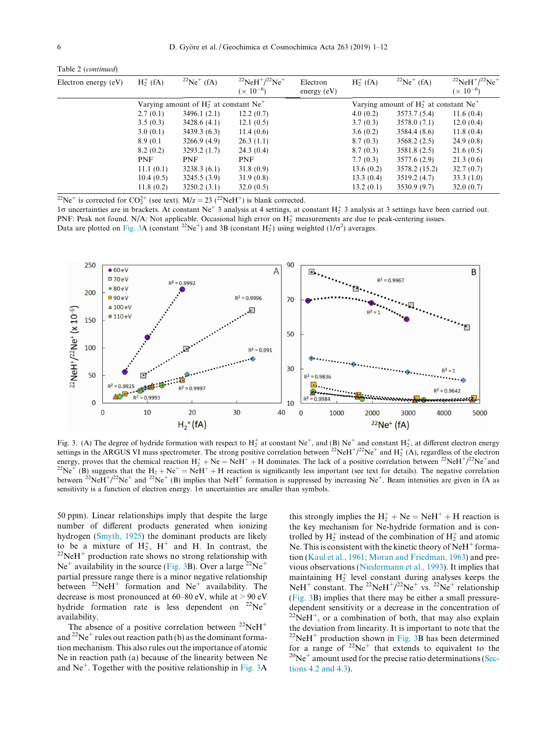<span id="page-5-0"></span>

|  | Table 2 (continued) |
|--|---------------------|
|--|---------------------|

| Electron energy (eV) | $H_2^+$ (fA) | $^{22}Ne^{+}$ (fA)                                    | $^{22}$ NeH <sup>+</sup> / <sup>22</sup> Ne <sup>+</sup><br>$(x 10^{-6})$ | Electron<br>energy $(eV)$ | $H_2^+$ (fA) | $^{22}Ne^{+}$ (fA)                                    | $^{22}$ NeH <sup>+</sup> / <sup>22</sup> Ne <sup>+</sup><br>$(x 10^{-6})$ |
|----------------------|--------------|-------------------------------------------------------|---------------------------------------------------------------------------|---------------------------|--------------|-------------------------------------------------------|---------------------------------------------------------------------------|
|                      |              | Varying amount of $H_2^+$ at constant Ne <sup>+</sup> |                                                                           |                           |              | Varying amount of $H_2^+$ at constant Ne <sup>+</sup> |                                                                           |
|                      | 2.7(0.1)     | 3496.1(2.1)                                           | 12.2(0.7)                                                                 |                           | 4.0(0.2)     | 3573.7 (5.4)                                          | 11.6(0.4)                                                                 |
|                      | 3.5(0.3)     | 3428.6(4.1)                                           | 12.1(0.5)                                                                 |                           | 3.7(0.3)     | 3578.0(7.1)                                           | 12.0(0.4)                                                                 |
|                      | 3.0(0.1)     | 3439.3(6.3)                                           | 11.4(0.6)                                                                 |                           | 3.6(0.2)     | 3584.4 (8.6)                                          | 11.8(0.4)                                                                 |
|                      | 8.9 (0.1)    | 3266.9(4.9)                                           | 26.3(1.1)                                                                 |                           | 8.7(0.3)     | 3568.2(2.5)                                           | 24.9(0.8)                                                                 |
|                      | 8.2(0.2)     | 3293.2(1.7)                                           | 24.3(0.4)                                                                 |                           | 8.7(0.3)     | 3581.8 (2.5)                                          | 21.6(0.5)                                                                 |
|                      | <b>PNF</b>   | <b>PNF</b>                                            | <b>PNF</b>                                                                |                           | 7.7(0.3)     | 3577.6(2.9)                                           | 21.3(0.6)                                                                 |
|                      | 11.1(0.1)    | 3238.3(6.1)                                           | 31.8(0.9)                                                                 |                           | 13.6(0.2)    | 3578.2 (15.2)                                         | 32.7(0.7)                                                                 |
|                      | 10.4(0.5)    | 3245.5(3.9)                                           | 31.9(0.8)                                                                 |                           | 13.3(0.4)    | 3519.2(4.7)                                           | 33.3(1.0)                                                                 |
|                      | 11.8(0.2)    | 3250.2(3.1)                                           | 32.0(0.5)                                                                 |                           | 13.2(0.1)    | 3530.9(9.7)                                           | 32.0(0.7)                                                                 |

<sup>22</sup>Ne<sup>+</sup> is corrected for CO<sub>2</sub><sup>+</sup> (see text). M/z = 23 (<sup>22</sup>NeH<sup>+</sup>) is blank corrected.

 $1\sigma$  uncertainties are in brackets. At constant Ne<sup>+</sup> 3 analysis at 4 settings, at constant H<sub>2</sub><sup>+</sup> 3 analysis at 3 settings have been carried out. PNF: Peak not found. N/A: Not applicable. Occasional high error on  $H_2^+$  measurements are due to peak-centering issues. Data are plotted on Fig. 3A (constant <sup>22</sup>Ne<sup>+</sup>) and 3B (constant  $H_2^+$ ) using weighted (1/ $\sigma^2$ ) averages.



Fig. 3. (A) The degree of hydride formation with respect to  $H_2^+$  at constant Ne<sup>+</sup>, and (B) Ne<sup>+</sup> and constant  $H_2^+$ , at different electron energy settings in the ARGUS VI mass spectrometer. The strong positive correlation between  $^{22}NeH^+/^{22}Ne^+$  and  $H_2^+(A)$ , regardless of the electron energy, proves that the chemical reaction  $H_2^+ + Ne = NeH^+ + H$  dominates. The lack of a positive correlation between <sup>22</sup>NeH<sup>+</sup>/ <sup>22</sup>Ne<sup>+</sup> (B) suggests that the H<sub>2</sub> + Ne<sup>+</sup> = NeH<sup>+</sup> + H reaction is significantly less important (see text for details). The negative correlation between <sup>22</sup>NeH<sup>+</sup>/<sup>22</sup>Ne<sup>+</sup> and <sup>22</sup>Ne<sup>+</sup> (B) implies that NeH<sup>+</sup> formation is suppressed by increasing Ne<sup>+</sup>. Beam intensities are given in fA as sensitivity is a function of electron energy.  $1\sigma$  uncertainties are smaller than symbols.

50 ppm). Linear relationships imply that despite the large number of different products generated when ionizing hydrogen [\(Smyth, 1925](#page-11-0)) the dominant products are likely to be a mixture of  $H_2^+$ ,  $H^+$  and H. In contrast, the  $^{22}$ NeH<sup>+</sup> production rate shows no strong relationship with  $Ne^+$  availability in the source (Fig. 3B). Over a large  ${}^{22}Ne^+$ partial pressure range there is a minor negative relationship between  $^{22}$ NeH<sup>+</sup> formation and Ne<sup>+</sup> availability. The decrease is most pronounced at  $60-80$  eV, while at  $> 90$  eV hydride formation rate is less dependent on  $^{22}Ne^{+}$ availability.

The absence of a positive correlation between  $^{22}$ NeH<sup>+</sup> and <sup>22</sup>Ne<sup>+</sup> rules out reaction path (b) as the dominant formation mechanism. This also rules out the importance of atomic Ne in reaction path (a) because of the linearity between Ne and  $Ne<sup>+</sup>$ . Together with the positive relationship in Fig. 3A

this strongly implies the  $H_2^+$  + Ne = NeH<sup>+</sup> + H reaction is the key mechanism for Ne-hydride formation and is controlled by  $H_2^+$  instead of the combination of  $H_2^+$  and atomic Ne. This is consistent with the kinetic theory of  $N$ e $H^+$  formation [\(Kaul et al., 1961; Moran and Friedman, 1963\)](#page-11-0) and previous observations ([Niedermann et al., 1993](#page-11-0)). It implies that maintaining  $H_2^+$  level constant during analyses keeps the NeH<sup>+</sup> constant. The <sup>22</sup>NeH<sup>+</sup>/<sup>22</sup>Ne<sup>+</sup> vs. <sup>22</sup>Ne<sup>+</sup> relationship (Fig. 3B) implies that there may be either a small pressuredependent sensitivity or a decrease in the concentration of  $22$ NeH<sup>+</sup>, or a combination of both, that may also explain the deviation from linearity. It is important to note that the  $22$ NeH<sup>+</sup> production shown in Fig. 3B has been determined for a range of  $2^2$ Ne<sup>+</sup> that extends to equivalent to the  $2^0$ Ne<sup>+</sup> amount used for the precise ratio determinations [\(Sec](#page-7-0)[tions 4.2 and 4.3\)](#page-7-0).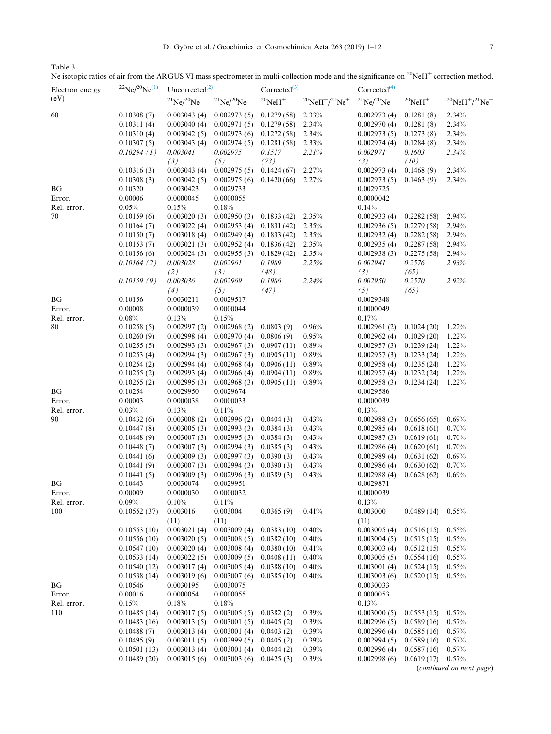<span id="page-6-0"></span>Table 3

Ne isotopic ratios of air from the ARGUS VI mass spectrometer in multi-collection mode and the significance on  $20$ NeH<sup>+</sup> correction method.

| Electron energy | $^{22}Ne/^{20}Ne^{(1)}$    | $Uncorrected^{(2)}$        |                            | $Corrected^{(3)}$        |                                          | Corrected <sup>(4)</sup>   |                          |                                          |
|-----------------|----------------------------|----------------------------|----------------------------|--------------------------|------------------------------------------|----------------------------|--------------------------|------------------------------------------|
| (eV)            |                            | $^{21}Ne/^{20}Ne$          | $^{21}Ne/^{20}Ne$          | $20$ NeH <sup>+</sup>    | $^{20}$ NeH $^{+}/^{21}$ Ne <sup>+</sup> | $^{21}Ne/^{20}Ne$          | $^{20}{\rm NeH}^+$       | $^{20}$ NeH $^{+}/^{21}$ Ne <sup>+</sup> |
| 60              | 0.10308(7)                 | 0.003043(4)                | 0.002973(5)                | 0.1279(58)               | 2.33%                                    | 0.002973(4)                | 0.1281(8)                | 2.34%                                    |
|                 | 0.10311(4)                 | 0.003040(4)                | 0.002971(5)                | 0.1279(58)               | 2.34%                                    | 0.002970(4)                | 0.1281(8)                | 2.34%                                    |
|                 | 0.10310(4)                 | 0.003042(5)                | 0.002973(6)                | 0.1272(58)               | 2.34%                                    | 0.002973(5)                | 0.1273(8)                | 2.34%                                    |
|                 | 0.10307(5)                 | 0.003043(4)                | 0.002974(5)                | 0.1281(58)               | 2.33%                                    | 0.002974(4)                | 0.1284(8)                | 2.34%                                    |
|                 | 0.10294(1)                 | 0.003041                   | 0.002975                   | 0.1517                   | 2.21%                                    | 0.002971                   | 0.1603                   | 2.34%                                    |
|                 |                            | (3)                        | (5)                        | (73)                     |                                          | (3)                        | (10)                     |                                          |
|                 | 0.10316(3)                 | 0.003043(4)                | 0.002975(5)                | 0.1424(67)               | 2.27%                                    | 0.002973(4)                | 0.1468(9)                | 2.34%                                    |
|                 | 0.10308(3)                 | 0.003042(5)<br>0.0030423   | 0.002975(6)                | 0.1420(66)               | 2.27%                                    | 0.002973(5)                | 0.1463(9)                | 2.34%                                    |
| BG<br>Error.    | 0.10320                    | 0.0000045                  | 0.0029733<br>0.0000055     |                          |                                          | 0.0029725<br>0.0000042     |                          |                                          |
| Rel. error.     | 0.00006<br>0.05%           | 0.15%                      | 0.18%                      |                          |                                          | 0.14%                      |                          |                                          |
| 70              | 0.10159(6)                 | 0.003020(3)                | 0.002950(3)                | 0.1833(42)               | 2.35%                                    | 0.002933(4)                | 0.2282(58)               | 2.94%                                    |
|                 | 0.10164(7)                 | 0.003022(4)                | 0.002953(4)                | 0.1831(42)               | 2.35%                                    | 0.002936(5)                | 0.2279(58)               | 2.94%                                    |
|                 | 0.10150(7)                 | 0.003018(4)                | 0.002949(4)                | 0.1833(42)               | 2.35%                                    | 0.002932(4)                | 0.2282(58)               | 2.94%                                    |
|                 | 0.10153(7)                 | 0.003021(3)                | 0.002952(4)                | 0.1836(42)               | 2.35%                                    | 0.002935(4)                | 0.2287(58)               | 2.94%                                    |
|                 | 0.10156(6)                 | 0.003024(3)                | 0.002955(3)                | 0.1829(42)               | 2.35%                                    | 0.002938(3)                | 0.2275(58)               | 2.94%                                    |
|                 | 0.10164(2)                 | 0.003028                   | 0.002961                   | 0.1989                   | 2.25%                                    | 0.002941                   | 0.2576                   | 2.93%                                    |
|                 |                            | (2)                        | (3)                        | (48)                     |                                          | (3)                        | (65)                     |                                          |
|                 | 0.10159(9)                 | 0.003036                   | 0.002969                   | 0.1986                   | 2.24%                                    | 0.002950                   | 0.2570                   | 2.92%                                    |
|                 |                            | (4)                        | (5)                        | (47)                     |                                          | (5)                        | (65)                     |                                          |
| BG              | 0.10156                    | 0.0030211                  | 0.0029517                  |                          |                                          | 0.0029348                  |                          |                                          |
| Error.          | 0.00008                    | 0.0000039                  | 0.0000044                  |                          |                                          | 0.0000049                  |                          |                                          |
| Rel. error.     | 0.08%                      | 0.13%                      | 0.15%                      |                          |                                          | 0.17%                      |                          |                                          |
| 80              | 0.10258(5)                 | 0.002997(2)                | 0.002968(2)                | 0.0803(9)                | 0.96%                                    | 0.002961(2)                | 0.1024(20)               | $1.22\%$                                 |
|                 | 0.10260(9)                 | 0.002998(4)                | 0.002970(4)                | 0.0806(9)                | 0.95%                                    | 0.002962(4)                | 0.1029(20)               | 1.22%                                    |
|                 | 0.10255(5)                 | 0.002993(3)                | 0.002967(3)                | 0.0907(11)               | 0.89%                                    | 0.002957(3)                | 0.1239(24)               | 1.22%                                    |
|                 | 0.10253(4)                 | 0.002994(3)                | 0.002967(3)                | 0.0905(11)               | 0.89%                                    | 0.002957(3)                | 0.1233(24)               | 1.22%                                    |
|                 | 0.10254(2)                 | 0.002994(4)<br>0.002993(4) | 0.002968(4)<br>0.002966(4) | 0.0906(11)               | 0.89%<br>0.89%                           | 0.002958(4)                | 0.1235(24)               | 1.22%<br>1.22%                           |
|                 | 0.10255(2)<br>0.10255(2)   | 0.002995(3)                | 0.002968(3)                | 0.0904(11)<br>0.0905(11) | 0.89%                                    | 0.002957(4)<br>0.002958(3) | 0.1232(24)<br>0.1234(24) | $1.22\%$                                 |
| BG              | 0.10254                    | 0.0029950                  | 0.0029674                  |                          |                                          | 0.0029586                  |                          |                                          |
| Error.          | 0.00003                    | 0.0000038                  | 0.0000033                  |                          |                                          | 0.0000039                  |                          |                                          |
| Rel. error.     | 0.03%                      | 0.13%                      | 0.11%                      |                          |                                          | 0.13%                      |                          |                                          |
| 90              | 0.10432(6)                 | 0.003008(2)                | 0.002996(2)                | 0.0404(3)                | 0.43%                                    | 0.002988(3)                | 0.0656(65)               | 0.69%                                    |
|                 | 0.10447(8)                 | 0.003005(3)                | 0.002993(3)                | 0.0384(3)                | 0.43%                                    | 0.002985(4)                | 0.0618(61)               | 0.70%                                    |
|                 | 0.10448(9)                 | 0.003007(3)                | 0.002995(3)                | 0.0384(3)                | 0.43%                                    | 0.002987(3)                | 0.0619(61)               | 0.70%                                    |
|                 | 0.10448(7)                 | 0.003007(3)                | 0.002994(3)                | 0.0385(3)                | 0.43%                                    | 0.002986(4)                | 0.0620(61)               | 0.70%                                    |
|                 | 0.10441(6)                 | 0.003009(3)                | 0.002997(3)                | 0.0390(3)                | 0.43%                                    | 0.002989(4)                | 0.0631(62)               | 0.69%                                    |
|                 | 0.10441(9)                 | 0.003007(3)                | 0.002994(3)                | 0.0390(3)                | 0.43%                                    | 0.002986(4)                | 0.0630(62)               | 0.70%                                    |
|                 | 0.10441(5)                 | 0.003009(3)                | 0.002996(3)                | 0.0389(3)                | 0.43%                                    | 0.002988(4)                | 0.0628(62)               | 0.69%                                    |
| BG              | 0.10443                    | 0.0030074                  | 0.0029951                  |                          |                                          | 0.0029871                  |                          |                                          |
| Error.          | 0.00009                    | 0.0000030                  | 0.0000032                  |                          |                                          | 0.0000039                  |                          |                                          |
| Rel. error.     | 0.09%                      | 0.10%                      | 0.11%                      |                          |                                          | 0.13%                      |                          |                                          |
| 100             | 0.10552(37)                | 0.003016                   | 0.003004                   | 0.0365(9)                | 0.41%                                    | 0.003000                   | 0.0489(14)               | 0.55%                                    |
|                 |                            | (11)<br>0.003021(4)        | (11)<br>0.003009(4)        | 0.0383(10)               |                                          | (11)<br>0.003005(4)        | 0.0516(15)               |                                          |
|                 | 0.10553(10)<br>0.10556(10) | 0.003020(5)                | 0.003008(5)                | 0.0382(10)               | 0.40%<br>0.40%                           | 0.003004(5)                | 0.0515(15)               | 0.55%<br>0.55%                           |
|                 | 0.10547(10)                | 0.003020(4)                | 0.003008(4)                | 0.0380(10)               | 0.41%                                    | 0.003003(4)                | 0.0512(15)               | 0.55%                                    |
|                 | 0.10533(14)                | 0.003022(5)                | 0.003009(5)                | 0.0408(11)               | 0.40%                                    | 0.003005(5)                | 0.0554(16)               | 0.55%                                    |
|                 | 0.10540(12)                | 0.003017(4)                | 0.003005(4)                | 0.0388(10)               | 0.40%                                    | 0.003001(4)                | 0.0524(15)               | 0.55%                                    |
|                 | 0.10538(14)                | 0.003019(6)                | 0.003007(6)                | 0.0385(10)               | 0.40%                                    | 0.003003(6)                | 0.0520(15)               | 0.55%                                    |
| BG              | 0.10546                    | 0.0030195                  | 0.0030075                  |                          |                                          | 0.0030033                  |                          |                                          |
| Error.          | 0.00016                    | 0.0000054                  | 0.0000055                  |                          |                                          | 0.0000053                  |                          |                                          |
| Rel. error.     | 0.15%                      | 0.18%                      | 0.18%                      |                          |                                          | 0.13%                      |                          |                                          |
| 110             | 0.10485(14)                | 0.003017(5)                | 0.003005(5)                | 0.0382(2)                | 0.39%                                    | 0.003000(5)                | 0.0553(15)               | 0.57%                                    |
|                 | 0.10483(16)                | 0.003013(5)                | 0.003001(5)                | 0.0405(2)                | 0.39%                                    | 0.002996(5)                | 0.0589(16)               | 0.57%                                    |
|                 | 0.10488(7)                 | 0.003013(4)                | 0.003001(4)                | 0.0403(2)                | 0.39%                                    | 0.002996(4)                | 0.0585(16)               | 0.57%                                    |
|                 | 0.10495(9)                 | 0.003011(5)                | 0.002999(5)                | 0.0405(2)                | 0.39%                                    | 0.002994(5)                | 0.0589(16)               | 0.57%                                    |
|                 | 0.10501(13)                | 0.003013(4)                | 0.003001(4)                | 0.0404(2)                | 0.39%                                    | 0.002996(4)                | 0.0587(16)               | 0.57%                                    |
|                 | 0.10489(20)                | 0.003015(6)                | 0.003003(6)                | 0.0425(3)                | 0.39%                                    | 0.002998(6)                | 0.0619(17)               | 0.57%                                    |

(continued on next page)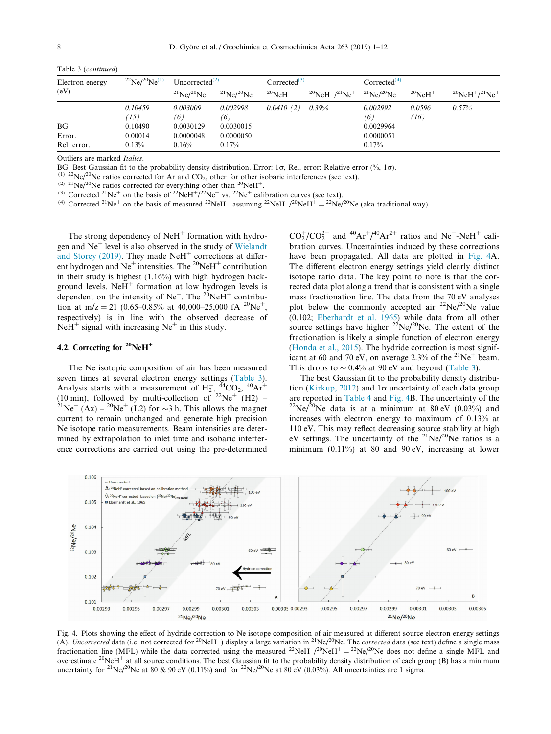| Electron energy<br>(eV) | $^{22}Ne/^{20}Ne^{(1)}$ | Uncorrected <sup>(2)</sup> |                   | Corrected $^{(3)}$       |                                                          | Corrected <sup>(4)</sup> |                          |                                                          |
|-------------------------|-------------------------|----------------------------|-------------------|--------------------------|----------------------------------------------------------|--------------------------|--------------------------|----------------------------------------------------------|
|                         |                         | $^{21}Ne/^{20}Ne$          | $^{21}Ne/^{20}Ne$ | $^{20}$ NeH <sup>+</sup> | $^{20}$ NeH <sup>+</sup> / <sup>21</sup> Ne <sup>+</sup> | $^{21}$ Ne/ $^{20}$ Ne   | $^{20}$ NeH <sup>+</sup> | $^{20}$ NeH <sup>+</sup> / <sup>21</sup> Ne <sup>+</sup> |
|                         | 0.10459                 | 0.003009                   | 0.002998          | 0.0410(2)                | $0.39\%$                                                 | 0.002992                 | 0.0596                   | 0.57%                                                    |
|                         | $\langle15\rangle$      | (6)                        | (6)               |                          |                                                          | (6)                      | (16)                     |                                                          |
| BG                      | 0.10490                 | 0.0030129                  | 0.0030015         |                          |                                                          | 0.0029964                |                          |                                                          |
| Error.                  | 0.00014                 | 0.0000048                  | 0.0000050         |                          |                                                          | 0.0000051                |                          |                                                          |
| Rel. error.             | 0.13%                   | $0.16\%$                   | 0.17%             |                          |                                                          | 0.17%                    |                          |                                                          |

<span id="page-7-0"></span>Table 3 (continued)

Outliers are marked Italics.

BG: Best Gaussian fit to the probability density distribution. Error: 1 $\sigma$ , Rel. error: Relative error (%, 1 $\sigma$ ).

 $(1)$  22Ne/<sup>20</sup>Ne ratios corrected for Ar and CO<sub>2</sub>, other for other isobaric interferences (see text).

(2)  $^{21}Ne/^{20}Ne$  ratios corrected for everything other than  $^{20}NeH^{+}$ .

<sup>(3)</sup> Corrected <sup>21</sup>Ne<sup>+</sup> on the basis of <sup>22</sup>NeH<sup>+</sup>/<sup>22</sup>Ne<sup>+</sup> vs. <sup>22</sup>Ne<sup>+</sup> calibration curves (see text).

<sup>(4)</sup> Corrected <sup>21</sup>Ne<sup>+</sup> on the basis of measured <sup>22</sup>NeH<sup>+</sup> assuming <sup>22</sup>NeH<sup>+</sup>/<sup>20</sup>NeH<sup>+</sup> = <sup>22</sup>Ne/<sup>20</sup>Ne (aka traditional way).

The strong dependency of  $N$ eH<sup>+</sup> formation with hydrogen and  $Ne<sup>+</sup>$  level is also observed in the study of [Wielandt](#page-11-0) [and Storey \(2019\)](#page-11-0). They made  $NeH<sup>+</sup>$  corrections at different hydrogen and  $Ne^+$  intensities. The <sup>20</sup>NeH<sup>+</sup> contribution in their study is highest (1.16%) with high hydrogen background levels. NeH<sup>+</sup> formation at low hydrogen levels is dependent on the intensity of  $Ne^+$ . The <sup>20</sup>NeH<sup>+</sup> contribution at m/z = 21 (0.65–0.85% at 40,000–25,000 fA  $^{20}Ne^{+}$ , respectively) is in line with the observed decrease of  $N$ eH<sup>+</sup> signal with increasing  $N$ e<sup>+</sup> in this study.

# 4.2. Correcting for  $20^{\circ}$ NeH<sup>+</sup>

The Ne isotopic composition of air has been measured seven times at several electron energy settings [\(Table 3\)](#page-6-0). Analysis starts with a measurement of  $H_2^+$ ,  $^{44}CO_2$ ,  $^{40}Ar^+$ (10 min), followed by multi-collection of <sup>22</sup>Ne<sup>+</sup> (H2) – <sup>21</sup>Ne<sup>+</sup> (Ax) – <sup>20</sup>Ne<sup>+</sup> (L2) for  $\sim$  3 h. This allows the magnet current to remain unchanged and generate high precision Ne isotope ratio measurements. Beam intensities are determined by extrapolation to inlet time and isobaric interference corrections are carried out using the pre-determined

 $CO_2^+(CO_2^{2+}$  and  ${}^{40}\text{Ar}^+/{}^{40}\text{Ar}^{2+}$  ratios and Ne<sup>+</sup>-NeH<sup>+</sup> calibration curves. Uncertainties induced by these corrections have been propagated. All data are plotted in Fig. 4A. The different electron energy settings yield clearly distinct isotope ratio data. The key point to note is that the corrected data plot along a trend that is consistent with a single mass fractionation line. The data from the 70 eV analyses plot below the commonly accepted air  $^{22}Ne/^{20}Ne$  value (0.102; [Eberhardt et al. 1965\)](#page-11-0) while data from all other source settings have higher  $22^{\circ}Ne/2^{\circ}Ne$ . The extent of the fractionation is likely a simple function of electron energy ([Honda et al., 2015](#page-11-0)). The hydride correction is most significant at 60 and 70 eV, on average 2.3% of the <sup>21</sup>Ne<sup>+</sup> beam. This drops to  $\sim 0.4\%$  at 90 eV and beyond [\(Table 3](#page-6-0)).

The best Gaussian fit to the probability density distribu-tion ([Kirkup, 2012](#page-11-0)) and  $1\sigma$  uncertainty of each data group are reported in [Table 4](#page-8-0) and Fig. 4B. The uncertainty of the  $^{22}Ne/^{20}Ne$  data is at a minimum at 80 eV (0.03%) and increases with electron energy to maximum of 0.13% at 110 eV. This may reflect decreasing source stability at high eV settings. The uncertainty of the  $^{21}Ne/^{20}Ne$  ratios is a minimum  $(0.11\%)$  at 80 and 90 eV, increasing at lower



Fig. 4. Plots showing the effect of hydride correction to Ne isotope composition of air measured at different source electron energy settings (A). Uncorrected data (i.e. not corrected for <sup>20</sup>NeH<sup>+</sup>) display a large variation in <sup>21</sup>Ne/<sup>20</sup>Ne. The *corrected* data (see text) define a single mass fractionation line (MFL) while the data corrected using the measured  $^{22}NeH^+/^{20}NeH^+ = {^{22}Ne/^{20}Ne}$  does not define a single MFL and overestimate <sup>20</sup>NeH<sup>+</sup> at all source conditions. The best Gaussian fit to the probability density distribution of each group (B) has a minimum uncertainty for <sup>21</sup>Ne/<sup>20</sup>Ne at 80 & 90 eV (0.11%) and for <sup>22</sup>Ne/<sup>20</sup>Ne at 80 eV (0.03%). All uncertainties are 1 sigma.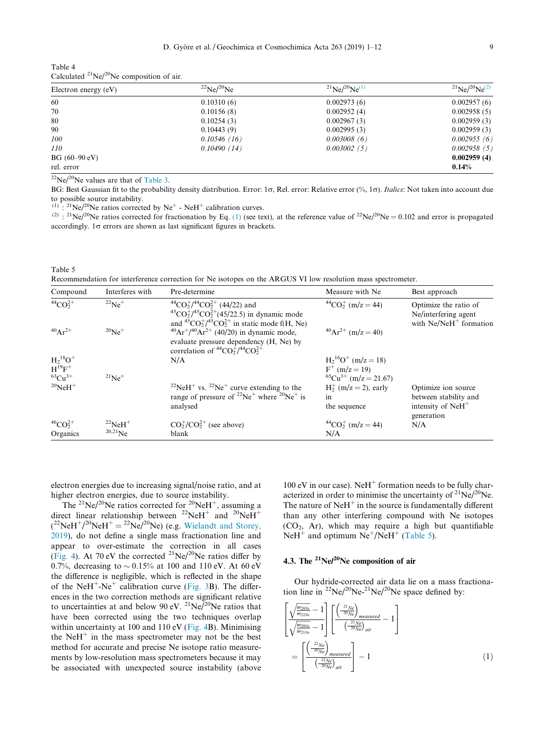<span id="page-8-0"></span>

| Table 4 |                                                  |  |
|---------|--------------------------------------------------|--|
|         | Calculated $^{21}Ne/^{20}Ne$ composition of air. |  |

| Electron energy $(eV)$ | $^{22}Ne/^{20}Ne$ | $^{21}Ne/^{20}Ne^{(1)}$ | $^{21}Ne/^{20}Ne^{(2)}$ |
|------------------------|-------------------|-------------------------|-------------------------|
| 60                     | 0.10310(6)        | 0.002973(6)             | 0.002957(6)             |
| 70                     | 0.10156(8)        | 0.002952(4)             | 0.002958(5)             |
| 80                     | 0.10254(3)        | 0.002967(3)             | 0.002959(3)             |
| 90                     | 0.10443(9)        | 0.002995(3)             | 0.002959(3)             |
| 100                    | 0.10546(16)       | 0.003008(6)             | 0.002955(6)             |
| 110                    | 0.10490(14)       | 0.003002(5)             | 0.002958(5)             |
| $BG(60-90eV)$          |                   |                         | 0.002959(4)             |
| rel. error             |                   |                         | $0.14\%$                |

 $^{22}Ne/^{20}Ne$  values are that of [Table 3.](#page-6-0)

BG: Best Gaussian fit to the probability density distribution. Error: 1 $\sigma$ , Rel. error: Relative error (%, 1 $\sigma$ ). *Italics*: Not taken into account due to possible source instability.

 $(1)$ :  $^{21}$ Ne/ $^{20}$ Ne ratios corrected by Ne<sup>+</sup> - NeH<sup>+</sup> calibration curves.

<sup>(2)</sup> : <sup>21</sup>Ne/<sup>20</sup>Ne ratios corrected for fractionation by Eq. (1) (see text), at the reference value of <sup>22</sup>Ne/<sup>20</sup>Ne = 0.102 and error is propagated accordingly.  $1\sigma$  errors are shown as last significant figures in brackets.

Table 5 Recommendation for interference correction for Ne isotopes on the ARGUS VI low resolution mass spectrometer.

| Compound                                           | Interferes with          | Pre-determine                                                                                                                                                         | Measure with Ne                                                              | Best approach                                                                                     |
|----------------------------------------------------|--------------------------|-----------------------------------------------------------------------------------------------------------------------------------------------------------------------|------------------------------------------------------------------------------|---------------------------------------------------------------------------------------------------|
| $^{44}CO_2^{2+}$                                   | $^{22}Ne^+$              | $^{44}CO_2^+/^{44}CO_2^{2+}$ (44/22) and<br>${}^{45}CO_2^+/{}^{45}CO_2^{2+}(45/22.5)$ in dynamic mode<br>and ${}^{45}CO_2^+/{}^{45}CO_2^{2+}$ in static mode f(H, Ne) | $^{44}CO_2^+$ (m/z = 44)                                                     | Optimize the ratio of<br>Ne/interfering agent<br>with $Ne/NeH^+$ formation                        |
| $^{40}Ar^{2+}$                                     | $^{20}Ne^+$              | $^{40}Ar^{+}/^{40}Ar^{2+}$ (40/20) in dynamic mode,<br>evaluate pressure dependency (H, Ne) by<br>correlation of ${}^{44}CO_2^+/{}^{44}CO_2^{2+}$                     | $^{40}Ar^{2+}$ (m/z = 40)                                                    |                                                                                                   |
| $H_2{}^{18}O^+$<br>$H^{19}F^+$<br>${}^{63}Cu^{3+}$ | $^{21}Ne^+$              | N/A                                                                                                                                                                   | $H_2^{16}O^+$ (m/z = 18)<br>$F^+$ (m/z = 19)<br>$^{65}Cu^{3+}$ (m/z = 21.67) |                                                                                                   |
| $^{20}$ NeH <sup>+</sup>                           |                          | <sup>22</sup> NeH <sup>+</sup> vs. <sup>22</sup> Ne <sup>+</sup> curve extending to the<br>range of pressure of $^{22}Ne^{+}$ where $^{20}Ne^{+}$ is<br>analysed      | $H_2^+$ (m/z = 2), early<br>1n<br>the sequence                               | Optimize ion source<br>between stability and<br>intensity of $N$ e $H$ <sup>+</sup><br>generation |
| $^{46}CO_2^{2+}$                                   | $^{22}$ NeH <sup>+</sup> | $CO_2^+/CO_2^{2+}$ (see above)                                                                                                                                        | $^{44}CO_2^+$ (m/z = 44)                                                     | N/A                                                                                               |
| Organics                                           | $^{20,21}$ Ne            | blank                                                                                                                                                                 | N/A                                                                          |                                                                                                   |

electron energies due to increasing signal/noise ratio, and at higher electron energies, due to source instability.

The <sup>21</sup>Ne/<sup>20</sup>Ne ratios corrected for <sup>20</sup>NeH<sup>+</sup>, assuming a direct linear relationship between <sup>22</sup>NeH<sup>+</sup> and <sup>20</sup>NeH<sup>+</sup>  $(^{22}NeH^{+}/^{20}NeH^{+} = {^{22}Ne/^{20}Ne}$  (e.g. [Wielandt and Storey,](#page-11-0) [2019](#page-11-0)), do not define a single mass fractionation line and appear to over-estimate the correction in all cases [\(Fig. 4](#page-7-0)). At 70 eV the corrected  $^{21}Ne/^{20}Ne$  ratios differ by 0.7%, decreasing to  $\sim 0.15$ % at 100 and 110 eV. At 60 eV the difference is negligible, which is reflected in the shape of the NeH<sup>+</sup>-Ne<sup>+</sup> calibration curve [\(Fig. 3B](#page-5-0)). The differences in the two correction methods are significant relative to uncertainties at and below 90 eV. <sup>21</sup>Ne/<sup>20</sup>Ne ratios that have been corrected using the two techniques overlap within uncertainty at 100 and 110 eV [\(Fig. 4B](#page-7-0)). Minimising the NeH<sup>+</sup> in the mass spectrometer may not be the best method for accurate and precise Ne isotope ratio measurements by low-resolution mass spectrometers because it may be associated with unexpected source instability (above

100 eV in our case). NeH<sup>+</sup> formation needs to be fully characterized in order to minimise the uncertainty of  $^{21}Ne/^{20}Ne$ . The nature of  $N$ eH $^+$  in the source is fundamentally different than any other interfering compound with Ne isotopes  $(CO<sub>2</sub>, Ar)$ , which may require a high but quantifiable  $N$ eH<sup>+</sup> and optimum  $N$ e<sup>+</sup>/NeH<sup>+</sup> (Table 5).

# 4.3. The  $^{21}Ne/^{20}Ne$  composition of air

Our hydride-corrected air data lie on a mass fractionation line in  $^{22}Ne/^{20}Ne^{-21}Ne/^{20}Ne$  space defined by:

$$
\left[\frac{\sqrt{\frac{m_{20Ne}}{m_{22Ne}}}-1}{\sqrt{\frac{m_{20Ne}}{m_{21Ne}}}-1}\right] \left[\frac{\left(\frac{21_{Ne}}{20_{Ne}}\right)_{measured}}{\left(\frac{-21_{Ne}}{20_{Ne}}\right)_{air}}-1\right]
$$
\n
$$
=\left[\frac{\left(\frac{22_{Ne}}{20_{Ne}}\right)_{measured}}{\left(\frac{-22_{Ne}}{20_{Ne}}\right)_{air}}\right]-1\tag{1}
$$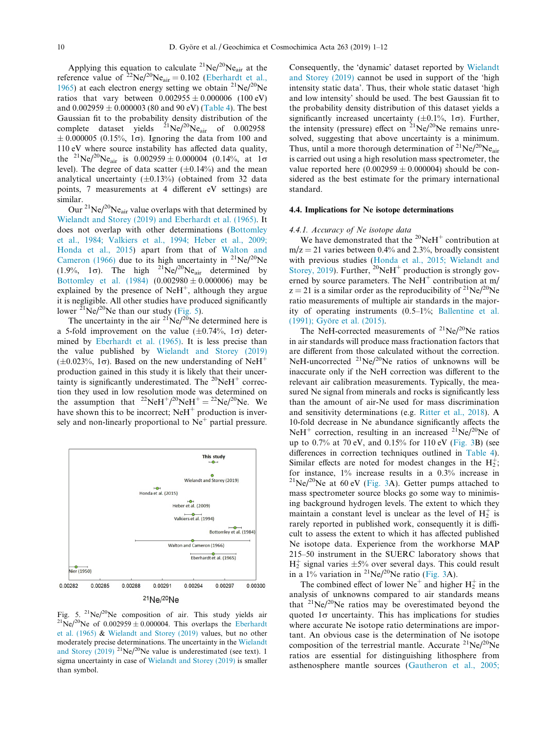Applying this equation to calculate  $^{21}Ne/^{20}Ne_{air}$  at the reference value of  $^{22}Ne/^{20}Ne_{air} = 0.102$  ([Eberhardt et al.,](#page-11-0) [1965\)](#page-11-0) at each electron energy setting we obtain  $^{21}Ne/^{20}Ne$ ratios that vary between  $0.002955 \pm 0.000006$  (100 eV) and  $0.002959 \pm 0.000003$  (80 and 90 eV) [\(Table 4\)](#page-8-0). The best Gaussian fit to the probability density distribution of the complete dataset yields  $^{21}Ne/^{20}Ne_{air}$  of 0.002958  $\pm 0.000005$  (0.15%, 1 $\sigma$ ). Ignoring the data from 100 and 110 eV where source instability has affected data quality, the <sup>21</sup>Ne/<sup>20</sup>Ne<sub>air</sub> is  $0.002959 \pm 0.000004$  (0.14%, at 1 $\sigma$ level). The degree of data scatter  $(\pm 0.14\%)$  and the mean analytical uncertainty  $(\pm 0.13\%)$  (obtained from 32 data points, 7 measurements at 4 different eV settings) are similar.

Our  $^{21}$ Ne/ $^{20}$ Ne<sub>air</sub> value overlaps with that determined by [Wielandt and Storey \(2019\) and Eberhardt et al. \(1965\)](#page-11-0). It does not overlap with other determinations ([Bottomley](#page-11-0) [et al., 1984; Valkiers et al., 1994; Heber et al., 2009;](#page-11-0) [Honda et al., 2015\)](#page-11-0) apart from that of [Walton and](#page-11-0) [Cameron \(1966\)](#page-11-0) due to its high uncertainty in  $^{21}Ne/^{20}Ne$ (1.9%, 1 $\sigma$ ). The high <sup>21</sup>Ne/<sup>20</sup>Ne<sub>air</sub> determined by [Bottomley et al. \(1984\)](#page-11-0)  $(0.002980 \pm 0.000006)$  may be explained by the presence of  $N$ eH<sup>+</sup>, although they argue it is negligible. All other studies have produced significantly lower  $^{21}$ Ne/ $^{20}$ Ne than our study (Fig. 5).

The uncertainty in the air  $^{21}Ne/^{20}Ne$  determined here is a 5-fold improvement on the value  $(\pm 0.74\%, 1\sigma)$  determined by [Eberhardt et al. \(1965\).](#page-11-0) It is less precise than the value published by [Wielandt and Storey \(2019\)](#page-11-0) ( $\pm 0.023\%$ , 1 $\sigma$ ). Based on the new understanding of NeH<sup>+</sup> production gained in this study it is likely that their uncertainty is significantly underestimated. The  $^{20}NeH^+$  correction they used in low resolution mode was determined on the assumption that  $^{22}NeH^{+}/^{20}NeH^{+} = {^{22}Ne/^{20}Ne}$ . We have shown this to be incorrect;  $N$ eH<sup>+</sup> production is inversely and non-linearly proportional to  $Ne<sup>+</sup>$  partial pressure.



Fig. 5. <sup>21</sup>Ne/<sup>20</sup>Ne composition of air. This study yields air <sup>21</sup>Ne/<sup>20</sup>Ne of 0.002959 ± 0.000004. This overlaps the [Eberhardt](#page-11-0) [et al. \(1965\)](#page-11-0) & [Wielandt and Storey \(2019\)](#page-11-0) values, but no other moderately precise determinations. The uncertainty in the [Wielandt](#page-11-0) [and Storey \(2019\)](#page-11-0) <sup>21</sup>Ne/<sup>20</sup>Ne value is underestimated (see text). 1 sigma uncertainty in case of [Wielandt and Storey \(2019\)](#page-11-0) is smaller than symbol.

Consequently, the 'dynamic' dataset reported by [Wielandt](#page-11-0) [and Storey \(2019\)](#page-11-0) cannot be used in support of the 'high intensity static data'. Thus, their whole static dataset 'high and low intensity' should be used. The best Gaussian fit to the probability density distribution of this dataset yields a significantly increased uncertainty ( $\pm 0.1$ %,  $1\sigma$ ). Further, the intensity (pressure) effect on  $^{21}Ne/^{20}Ne$  remains unresolved, suggesting that above uncertainty is a minimum. Thus, until a more thorough determination of  $^{21}Ne/^{20}Ne_{air}$ is carried out using a high resolution mass spectrometer, the value reported here  $(0.002959 \pm 0.000004)$  should be considered as the best estimate for the primary international standard.

## 4.4. Implications for Ne isotope determinations

## 4.4.1. Accuracy of Ne isotope data

We have demonstrated that the  $^{20}$ NeH<sup>+</sup> contribution at  $m/z = 21$  varies between 0.4% and 2.3%, broadly consistent with previous studies ([Honda et al., 2015; Wielandt and](#page-11-0) [Storey, 2019](#page-11-0)). Further,  $^{20}$ NeH<sup>+</sup> production is strongly governed by source parameters. The NeH<sup>+</sup> contribution at m/  $z = 21$  is a similar order as the reproducibility of <sup>21</sup>Ne/<sup>20</sup>Ne ratio measurements of multiple air standards in the majority of operating instruments (0.5–1%; [Ballentine et al.](#page-11-0) (1991); Györe et al. (2015).

The NeH-corrected measurements of  $^{21}Ne/^{20}Ne$  ratios in air standards will produce mass fractionation factors that are different from those calculated without the correction. NeH-uncorrected  $^{21}Ne/^{20}Ne$  ratios of unknowns will be inaccurate only if the NeH correction was different to the relevant air calibration measurements. Typically, the measured Ne signal from minerals and rocks is significantly less than the amount of air-Ne used for mass discrimination and sensitivity determinations (e.g. [Ritter et al., 2018\)](#page-11-0). A 10-fold decrease in Ne abundance significantly affects the NeH<sup>+</sup> correction, resulting in an increased <sup>21</sup>Ne/<sup>20</sup>Ne of up to  $0.7\%$  at  $70 \text{ eV}$ , and  $0.15\%$  for  $110 \text{ eV}$  [\(Fig. 3](#page-5-0)B) (see differences in correction techniques outlined in [Table 4\)](#page-8-0). Similar effects are noted for modest changes in the  $H_2^+$ ; for instance, 1% increase results in a 0.3% increase in  $^{21}$ Ne/<sup>20</sup>Ne at 60 eV ([Fig. 3](#page-5-0)A). Getter pumps attached to mass spectrometer source blocks go some way to minimising background hydrogen levels. The extent to which they maintain a constant level is unclear as the level of  $H_2^+$  is rarely reported in published work, consequently it is difficult to assess the extent to which it has affected published Ne isotope data. Experience from the workhorse MAP 215–50 instrument in the SUERC laboratory shows that  $H_2^+$  signal varies  $\pm 5\%$  over several days. This could result in a 1% variation in  $^{21}Ne/^{20}Ne$  ratio [\(Fig. 3A](#page-5-0)).

The combined effect of lower  $Ne^+$  and higher  $H_2^+$  in the analysis of unknowns compared to air standards means that  $2^{1}Ne/2^{0}Ne$  ratios may be overestimated beyond the quoted  $1\sigma$  uncertainty. This has implications for studies where accurate Ne isotope ratio determinations are important. An obvious case is the determination of Ne isotope composition of the terrestrial mantle. Accurate  $^{21}Ne/^{20}Ne$ ratios are essential for distinguishing lithosphere from asthenosphere mantle sources ([Gautheron et al., 2005;](#page-11-0)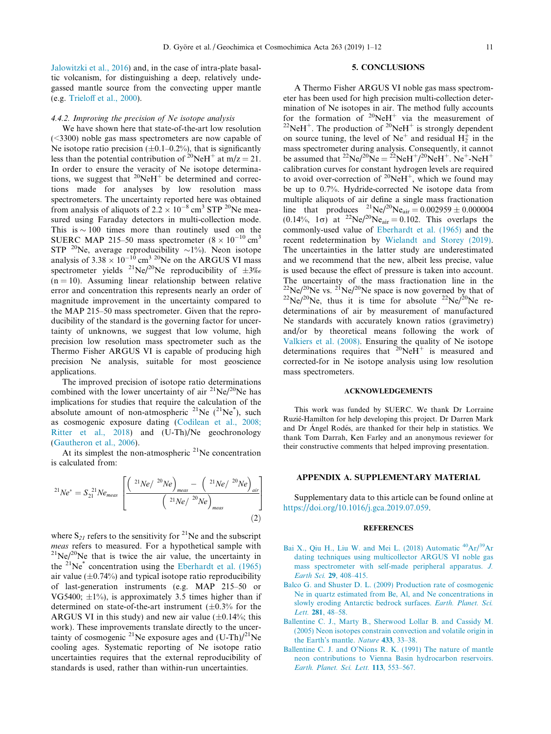<span id="page-10-0"></span>[Jalowitzki et al., 2016\)](#page-11-0) and, in the case of intra-plate basaltic volcanism, for distinguishing a deep, relatively undegassed mantle source from the convecting upper mantle (e.g. [Trieloff et al., 2000](#page-11-0)).

## 4.4.2. Improving the precision of Ne isotope analysis

We have shown here that state-of-the-art low resolution (<3300) noble gas mass spectrometers are now capable of Ne isotope ratio precision  $(\pm 0.1-0.2\%)$ , that is significantly less than the potential contribution of <sup>20</sup>NeH<sup>+</sup> at m/z = 21. In order to ensure the veracity of Ne isotope determinations, we suggest that  $20$ NeH<sup>+</sup> be determined and corrections made for analyses by low resolution mass spectrometers. The uncertainty reported here was obtained from analysis of aliquots of  $2.2 \times 10^{-8}$  cm<sup>3</sup> STP <sup>20</sup>Ne measured using Faraday detectors in multi-collection mode. This is  $\sim$  100 times more than routinely used on the SUERC MAP 215–50 mass spectrometer  $(8 \times 10^{-10} \text{ cm}^3$ STP <sup>20</sup>Ne, average reproducibility  $\sim$ 1%). Neon isotope analysis of  $3.38 \times 10^{-10}$  cm<sup>3 20</sup>Ne on the ARGUS VI mass spectrometer yields <sup>21</sup>Ne/<sup>20</sup>Ne reproducibility of  $\pm 3\%$  $(n = 10)$ . Assuming linear relationship between relative error and concentration this represents nearly an order of magnitude improvement in the uncertainty compared to the MAP 215–50 mass spectrometer. Given that the reproducibility of the standard is the governing factor for uncertainty of unknowns, we suggest that low volume, high precision low resolution mass spectrometer such as the Thermo Fisher ARGUS VI is capable of producing high precision Ne analysis, suitable for most geoscience applications.

The improved precision of isotope ratio determinations combined with the lower uncertainty of air  $^{21}Ne/^{20}Ne$  has implications for studies that require the calculation of the absolute amount of non-atmospheric  $^{21}$ Ne ( $^{21}$ Ne<sup>\*</sup>), such as cosmogenic exposure dating ([Codilean et al., 2008;](#page-11-0) [Ritter et al., 2018](#page-11-0)) and (U-Th)/Ne geochronology [\(Gautheron et al., 2006\)](#page-11-0).

At its simplest the non-atmospheric  $2<sup>1</sup>$ Ne concentration is calculated from:

$$
^{21}Ne^* = S_{21}^{21}Ne_{meas} \left[ \frac{\left( \frac{21}{Ne} \right)^{20}Ne \right)_{meas} - \left( \frac{21}{Ne} \right)^{20}Ne \right]_{air}}{\left( \frac{21}{Ne} \right)^{20}Ne \right)_{meas}} \tag{2}
$$

where  $S_{21}$  refers to the sensitivity for <sup>21</sup>Ne and the subscript *meas* refers to measured. For a hypothetical sample with  $12^1$ Ne/<sup>20</sup>Ne that is twice the air value, the uncertainty in the  $2^{1}Ne^{*}$  concentration using the [Eberhardt et al. \(1965\)](#page-11-0) air value  $(\pm 0.74\%)$  and typical isotope ratio reproducibility of last-generation instruments (e.g. MAP 215–50 or VG5400;  $\pm$ 1%), is approximately 3.5 times higher than if determined on state-of-the-art instrument  $(\pm 0.3\%$  for the ARGUS VI in this study) and new air value  $(\pm 0.14\%;$  this work). These improvements translate directly to the uncertainty of cosmogenic <sup>21</sup>Ne exposure ages and  $(U-Th)/21Ne$ cooling ages. Systematic reporting of Ne isotope ratio uncertainties requires that the external reproducibility of standards is used, rather than within-run uncertainties.

#### 5. CONCLUSIONS

A Thermo Fisher ARGUS VI noble gas mass spectrometer has been used for high precision multi-collection determination of Ne isotopes in air. The method fully accounts for the formation of <sup>20</sup>NeH<sup>+</sup> via the measurement of <sup>22</sup>NeH<sup>+</sup>. The production of <sup>20</sup>NeH<sup>+</sup> is strongly dependent on source tuning, the level of  $Ne^+$  and residual  $H_2^+$  in the mass spectrometer during analysis. Consequently, it cannot be assumed that  $^{22}Ne/^{20}Ne = {^{22}NeH^+}/^{20}NeH^+$ . Ne<sup>+</sup>-NeH<sup>+</sup> calibration curves for constant hydrogen levels are required to avoid over-correction of  $2^0$ NeH<sup>+</sup>, which we found may be up to 0.7%. Hydride-corrected Ne isotope data from multiple aliquots of air define a single mass fractionation line that produces  ${}^{21}Ne/{}^{20}Ne_{air} = 0.002959 \pm 0.000004$  $(0.14\%, 1\sigma)$  at  $^{22}Ne^{20}Ne_{air} = 0.102$ . This overlaps the commonly-used value of [Eberhardt et al. \(1965\)](#page-11-0) and the recent redetermination by [Wielandt and Storey \(2019\)](#page-11-0). The uncertainties in the latter study are underestimated and we recommend that the new, albeit less precise, value is used because the effect of pressure is taken into account. The uncertainty of the mass fractionation line in the  $^{22}Ne/^{20}Ne$  space is now governed by that of  $2^{22}Ne/2^{0}Ne$ , thus it is time for absolute  $2^{2}Ne/2^{0}Ne$  redeterminations of air by measurement of manufactured Ne standards with accurately known ratios (gravimetry) and/or by theoretical means following the work of [Valkiers et al. \(2008\)](#page-11-0). Ensuring the quality of Ne isotope determinations requires that  $20$ NeH<sup>+</sup> is measured and corrected-for in Ne isotope analysis using low resolution mass spectrometers.

#### ACKNOWLEDGEMENTS

This work was funded by SUERC. We thank Dr Lorraine Ruzie´-Hamilton for help developing this project. Dr Darren Mark and Dr Ángel Rodés, are thanked for their help in statistics. We thank Tom Darrah, Ken Farley and an anonymous reviewer for their constructive comments that helped improving presentation.

## APPENDIX A. SUPPLEMENTARY MATERIAL

Supplementary data to this article can be found online at [https://doi.org/10.1016/j.gca.2019.07.059.](https://doi.org/10.1016/j.gca.2019.07.059)

#### **REFERENCES**

- [Bai](http://refhub.elsevier.com/S0016-7037(19)30496-X/h0005) [X.,](http://refhub.elsevier.com/S0016-7037(19)30496-X/h0005) [Qiu](http://refhub.elsevier.com/S0016-7037(19)30496-X/h0005) [H.,](http://refhub.elsevier.com/S0016-7037(19)30496-X/h0005) [Liu](http://refhub.elsevier.com/S0016-7037(19)30496-X/h0005) [W.](http://refhub.elsevier.com/S0016-7037(19)30496-X/h0005) [and](http://refhub.elsevier.com/S0016-7037(19)30496-X/h0005) [Mei](http://refhub.elsevier.com/S0016-7037(19)30496-X/h0005) [L.](http://refhub.elsevier.com/S0016-7037(19)30496-X/h0005) [\(2018\)](http://refhub.elsevier.com/S0016-7037(19)30496-X/h0005) [Automatic](http://refhub.elsevier.com/S0016-7037(19)30496-X/h0005) <sup>40</sup>Ar/<sup>39</sup>Ar [dating techniques using multicollector ARGUS VI noble gas](http://refhub.elsevier.com/S0016-7037(19)30496-X/h0005) [mass spectrometer with self-made peripheral apparatus.](http://refhub.elsevier.com/S0016-7037(19)30496-X/h0005) J. Earth Sci. 29[, 408–415.](http://refhub.elsevier.com/S0016-7037(19)30496-X/h0005)
- [Balco G. and Shuster D. L. \(2009\) Production rate of cosmogenic](http://refhub.elsevier.com/S0016-7037(19)30496-X/h0010) [Ne in quartz estimated from Be, Al, and Ne concentrations in](http://refhub.elsevier.com/S0016-7037(19)30496-X/h0010) [slowly eroding Antarctic bedrock surfaces.](http://refhub.elsevier.com/S0016-7037(19)30496-X/h0010) Earth. Planet. Sci. Lett. 281[, 48–58.](http://refhub.elsevier.com/S0016-7037(19)30496-X/h0010)
- [Ballentine C. J., Marty B., Sherwood Lollar B. and Cassidy M.](http://refhub.elsevier.com/S0016-7037(19)30496-X/h0015) [\(2005\) Neon isotopes constrain convection and volatile origin in](http://refhub.elsevier.com/S0016-7037(19)30496-X/h0015) [the Earth's mantle.](http://refhub.elsevier.com/S0016-7037(19)30496-X/h0015) Nature 433, 33–38.
- [Ballentine C. J. and O'Nions R. K. \(1991\) The nature of mantle](http://refhub.elsevier.com/S0016-7037(19)30496-X/h0020) [neon contributions to Vienna Basin hydrocarbon reservoirs.](http://refhub.elsevier.com/S0016-7037(19)30496-X/h0020) [Earth. Planet. Sci. Lett.](http://refhub.elsevier.com/S0016-7037(19)30496-X/h0020) 113, 553–567.